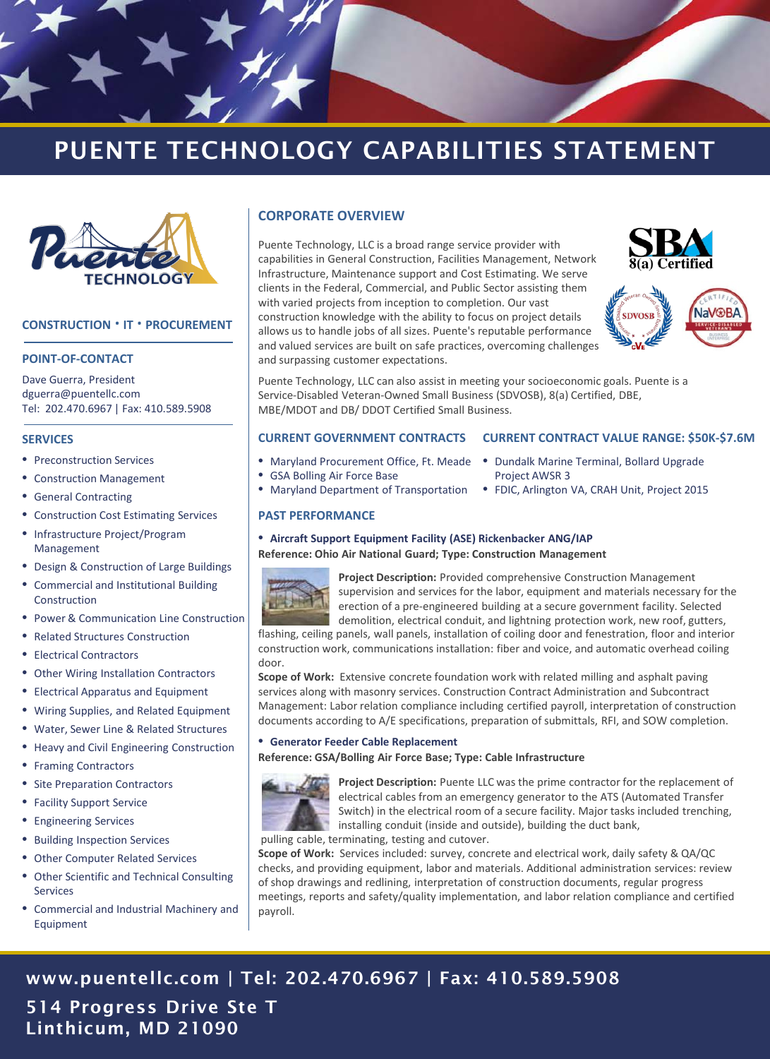

## PUENTE TECHNOLOGY CAPABILITIES STATEMENT



#### **CONSTRUCTION ∙ IT ∙ PROCUREMENT**

#### **POINT-OF-CONTACT**

Dave Guerra, President dguerra@puentellc.com Tel: 202.470.6967 | Fax: 410.589.5908

#### **SERVICES**

- Preconstruction Services
- Construction Management
- General Contracting
- Construction Cost Estimating Services
- Infrastructure Project/Program Management
- Design & Construction of Large Buildings
- Commercial and Institutional Building Construction
- Power & Communication Line Construction
- Related Structures Construction
- Electrical Contractors
- Other Wiring Installation Contractors
- Electrical Apparatus and Equipment
- Wiring Supplies, and Related Equipment
- Water, Sewer Line & Related Structures
- Heavy and Civil Engineering Construction
- Framing Contractors
- Site Preparation Contractors
- Facility Support Service
- Engineering Services
- Building Inspection Services
- Other Computer Related Services
- Other Scientific and Technical Consulting Services
- Commercial and Industrial Machinery and Equipment

#### **CORPORATE OVERVIEW**

Puente Technology, LLC is a broad range service provider with capabilities in General Construction, Facilities Management, Network Infrastructure, Maintenance support and Cost Estimating. We serve clients in the Federal, Commercial, and Public Sector assisting them with varied projects from inception to completion. Our vast construction knowledge with the ability to focus on project details allows us to handle jobs of all sizes. Puente's reputable performance and valued services are built on safe practices, overcoming challenges and surpassing customer expectations.





Puente Technology, LLC can also assist in meeting your socioeconomic goals. Puente is a Service-Disabled Veteran-Owned Small Business (SDVOSB), 8(a) Certified, DBE, MBE/MDOT and DB/ DDOT Certified Small Business.

#### **CURRENT GOVERNMENT CONTRACTS CURRENT CONTRACT VALUE RANGE: \$50K-\$7.6M**

- 
- GSA Bolling Air Force Base
- Maryland Department of Transportation
- Maryland Procurement Office, Ft. Meade Dundalk Marine Terminal, Bollard Upgrade Project AWSR 3
	- FDIC, Arlington VA, CRAH Unit, Project 2015

#### **PAST PERFORMANCE**

• **Aircraft Support Equipment Facility (ASE) Rickenbacker ANG/IAP**

**Reference: Ohio Air National Guard; Type: Construction Management**



**Project Description:** Provided comprehensive Construction Management supervision and services for the labor, equipment and materials necessary for the erection of a pre-engineered building at a secure government facility. Selected demolition, electrical conduit, and lightning protection work, new roof, gutters,

flashing, ceiling panels, wall panels, installation of coiling door and fenestration, floor and interior construction work, communications installation: fiber and voice, and automatic overhead coiling door.

**Scope of Work:** Extensive concrete foundation work with related milling and asphalt paving services along with masonry services. Construction Contract Administration and Subcontract Management: Labor relation compliance including certified payroll, interpretation of construction documents according to A/E specifications, preparation of submittals, RFI, and SOW completion.

#### • **Generator Feeder Cable Replacement**

**Reference: GSA/Bolling Air Force Base; Type: Cable Infrastructure**



**Project Description:** Puente LLC was the prime contractor for the replacement of electrical cables from an emergency generator to the ATS (Automated Transfer Switch) in the electrical room of a secure facility. Major tasks included trenching, installing conduit (inside and outside), building the duct bank,

pulling cable, terminating, testing and cutover.

**Scope of Work:** Services included: survey, concrete and electrical work, daily safety & QA/QC checks, and providing equipment, labor and materials. Additional administration services: review of shop drawings and redlining, interpretation of construction documents, regular progress meetings, reports and safety/quality implementation, and labor relation compliance and certified payroll.

### www.puentellc.com | Tel: 202.470.6967 | Fax: 410.589.5908

514 Progress Drive Ste T Linthicum, MD 21090